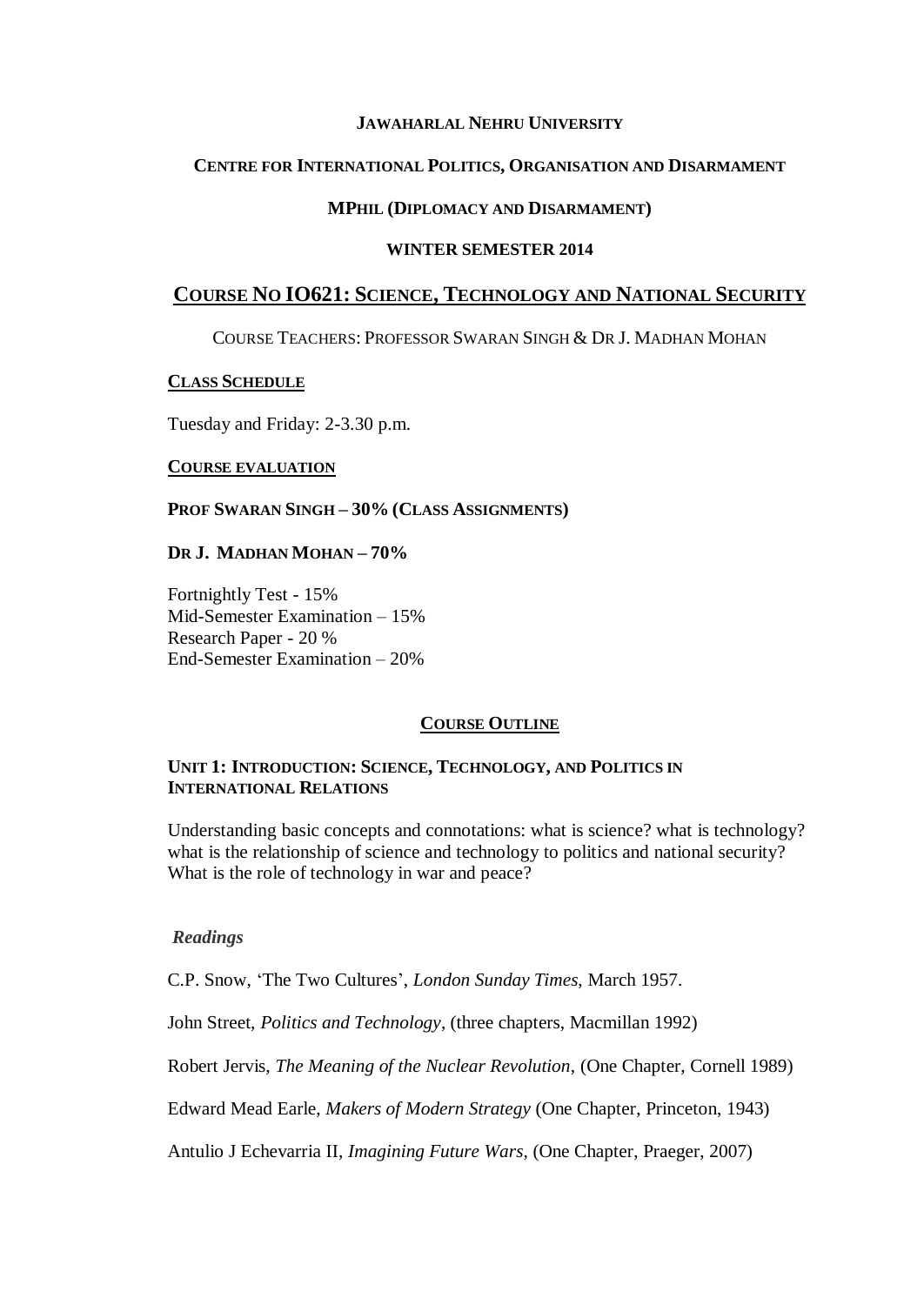## **JAWAHARLAL NEHRU UNIVERSITY**

## **CENTRE FOR INTERNATIONAL POLITICS, ORGANISATION AND DISARMAMENT**

## **MPHIL (DIPLOMACY AND DISARMAMENT)**

## **WINTER SEMESTER 2014**

# **COURSE NO IO621: SCIENCE, TECHNOLOGY AND NATIONAL SECURITY**

COURSE TEACHERS: PROFESSOR SWARAN SINGH & DR J. MADHAN MOHAN

#### **CLASS SCHEDULE**

Tuesday and Friday: 2-3.30 p.m.

#### **COURSE EVALUATION**

#### **PROF SWARAN SINGH – 30% (CLASS ASSIGNMENTS)**

## **DR J. MADHAN MOHAN – 70%**

Fortnightly Test - 15% Mid-Semester Examination – 15% Research Paper - 20 % End-Semester Examination – 20%

# **COURSE OUTLINE**

## **UNIT 1: INTRODUCTION: SCIENCE, TECHNOLOGY, AND POLITICS IN INTERNATIONAL RELATIONS**

Understanding basic concepts and connotations: what is science? what is technology? what is the relationship of science and technology to politics and national security? What is the role of technology in war and peace?

# *Readings*

C.P. Snow, 'The Two Cultures', *London Sunday Times*, March 1957.

John Street, *Politics and Technology*, (three chapters, Macmillan 1992)

Robert Jervis, *The Meaning of the Nuclear Revolution*, (One Chapter, Cornell 1989)

Edward Mead Earle, *Makers of Modern Strategy* (One Chapter, Princeton, 1943)

Antulio J Echevarria II, *Imagining Future Wars*, (One Chapter, Praeger, 2007)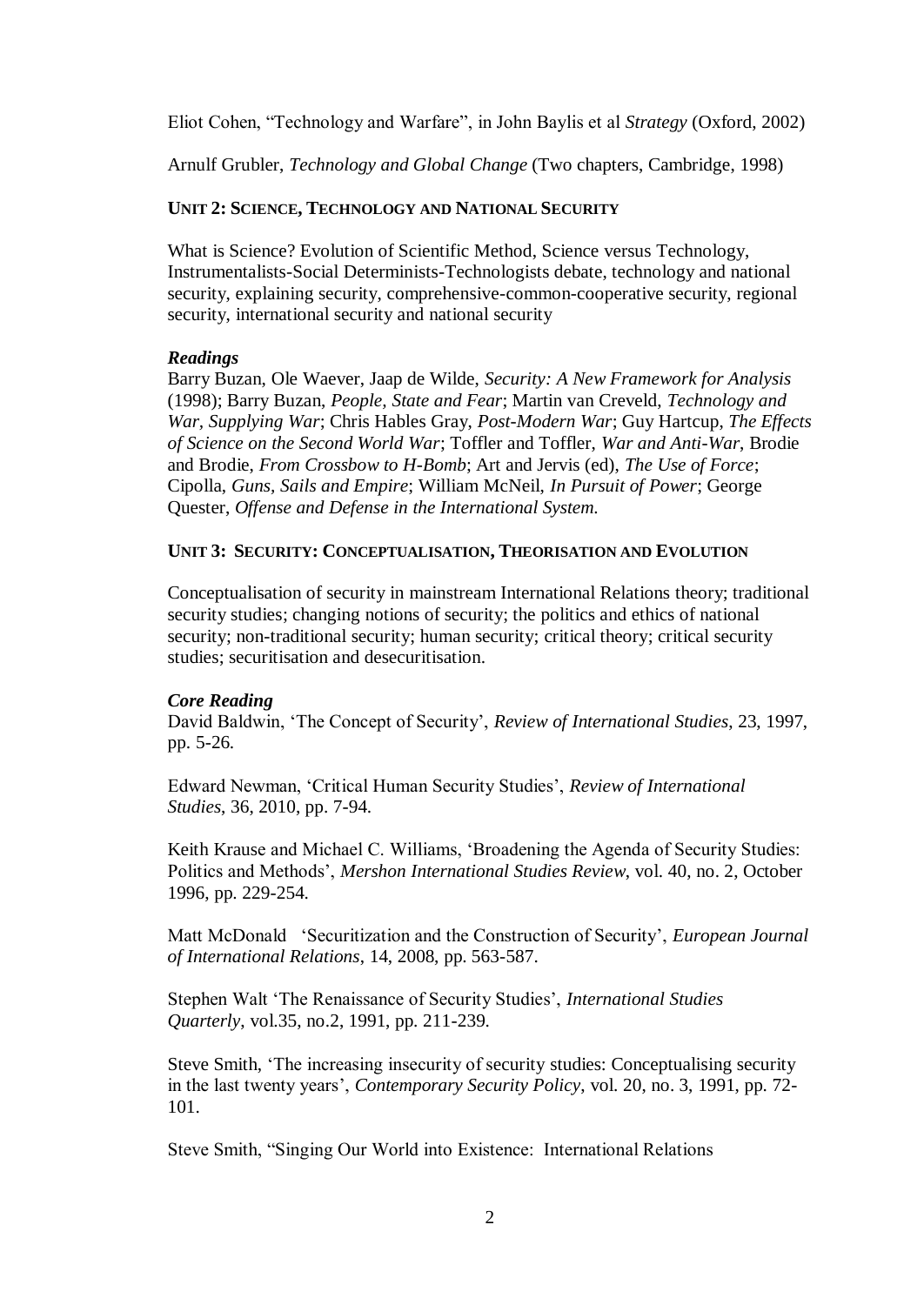Eliot Cohen, "Technology and Warfare", in John Baylis et al *Strategy* (Oxford, 2002)

Arnulf Grubler, *Technology and Global Change* (Two chapters, Cambridge, 1998)

## **UNIT 2: SCIENCE, TECHNOLOGY AND NATIONAL SECURITY**

What is Science? Evolution of Scientific Method, Science versus Technology, Instrumentalists-Social Determinists-Technologists debate, technology and national security, explaining security, comprehensive-common-cooperative security, regional security, international security and national security

## *Readings*

Barry Buzan, Ole Waever, Jaap de Wilde, *Security: A New Framework for Analysis* (1998); Barry Buzan, *People, State and Fear*; Martin van Creveld, *Technology and War, Supplying War*; Chris Hables Gray, *Post-Modern War*; Guy Hartcup, *The Effects of Science on the Second World War*; Toffler and Toffler, *War and Anti-War*, Brodie and Brodie, *From Crossbow to H-Bomb*; Art and Jervis (ed), *The Use of Force*; Cipolla, *Guns, Sails and Empire*; William McNeil, *In Pursuit of Power*; George Quester, *Offense and Defense in the International System.*

## **UNIT 3: SECURITY: CONCEPTUALISATION, THEORISATION AND EVOLUTION**

Conceptualisation of security in mainstream International Relations theory; traditional security studies; changing notions of security; the politics and ethics of national security; non-traditional security; human security; critical theory; critical security studies; securitisation and desecuritisation.

# *Core Reading*

David Baldwin, 'The Concept of Security', *Review of International Studies*, 23, 1997, pp. 5-26.

Edward Newman, 'Critical Human Security Studies', *Review of International Studies*, 36, 2010, pp. 7-94.

Keith Krause and Michael C. Williams, 'Broadening the Agenda of Security Studies: Politics and Methods', *Mershon International Studies Review*, vol. 40, no. 2, October 1996, pp. 229-254.

Matt McDonald 'Securitization and the Construction of Security', *European Journal of International Relations*, 14, 2008, pp. 563-587.

Stephen Walt 'The Renaissance of Security Studies', *International Studies Quarterly*, vol.35, no.2, 1991, pp. 211-239.

Steve Smith, 'The increasing insecurity of security studies: Conceptualising security in the last twenty years', *Contemporary Security Policy*, vol. 20, no. 3, 1991, pp. 72- 101.

Steve Smith, "Singing Our World into Existence: International Relations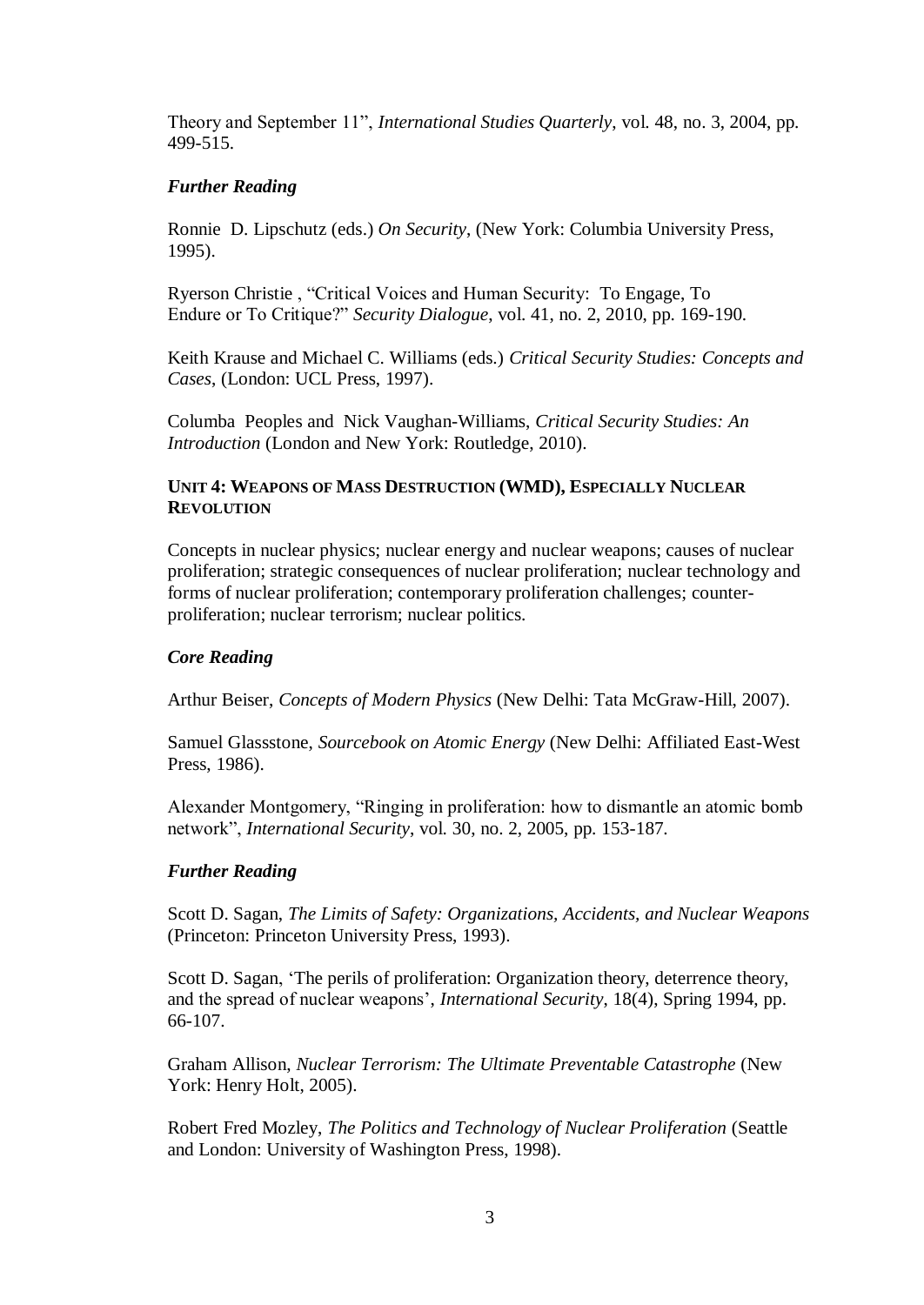Theory and September 11", *International Studies Quarterly*, vol. 48, no. 3, 2004, pp. 499-515.

## *Further Reading*

Ronnie D. Lipschutz (eds.) *On Security*, (New York: Columbia University Press, 1995).

Ryerson Christie , "Critical Voices and Human Security: To Engage, To Endure or To Critique?" *Security Dialogue*, vol. 41, no. 2, 2010, pp. 169-190.

Keith Krause and Michael C. Williams (eds.) *Critical Security Studies: Concepts and Cases*, (London: UCL Press, 1997).

Columba Peoples and Nick Vaughan-Williams, *Critical Security Studies: An Introduction* (London and New York: Routledge, 2010).

## **UNIT 4: WEAPONS OF MASS DESTRUCTION (WMD), ESPECIALLY NUCLEAR REVOLUTION**

Concepts in nuclear physics; nuclear energy and nuclear weapons; causes of nuclear proliferation; strategic consequences of nuclear proliferation; nuclear technology and forms of nuclear proliferation; contemporary proliferation challenges; counterproliferation; nuclear terrorism; nuclear politics.

## *Core Reading*

Arthur Beiser, *Concepts of Modern Physics* (New Delhi: Tata McGraw-Hill, 2007).

Samuel Glassstone, *Sourcebook on Atomic Energy* (New Delhi: Affiliated East-West Press, 1986).

Alexander Montgomery, "Ringing in proliferation: how to dismantle an atomic bomb network", *International Security*, vol. 30, no. 2, 2005, pp. 153-187.

#### *Further Reading*

Scott D. Sagan, *The Limits of Safety: Organizations, Accidents, and Nuclear Weapons* (Princeton: Princeton University Press, 1993).

Scott D. Sagan, 'The perils of proliferation: Organization theory, deterrence theory, and the spread of nuclear weapons', *International Security*, 18(4), Spring 1994, pp. 66-107.

Graham Allison, *Nuclear Terrorism: The Ultimate Preventable Catastrophe* (New York: Henry Holt, 2005).

Robert Fred Mozley, *The Politics and Technology of Nuclear Proliferation* (Seattle and London: University of Washington Press, 1998).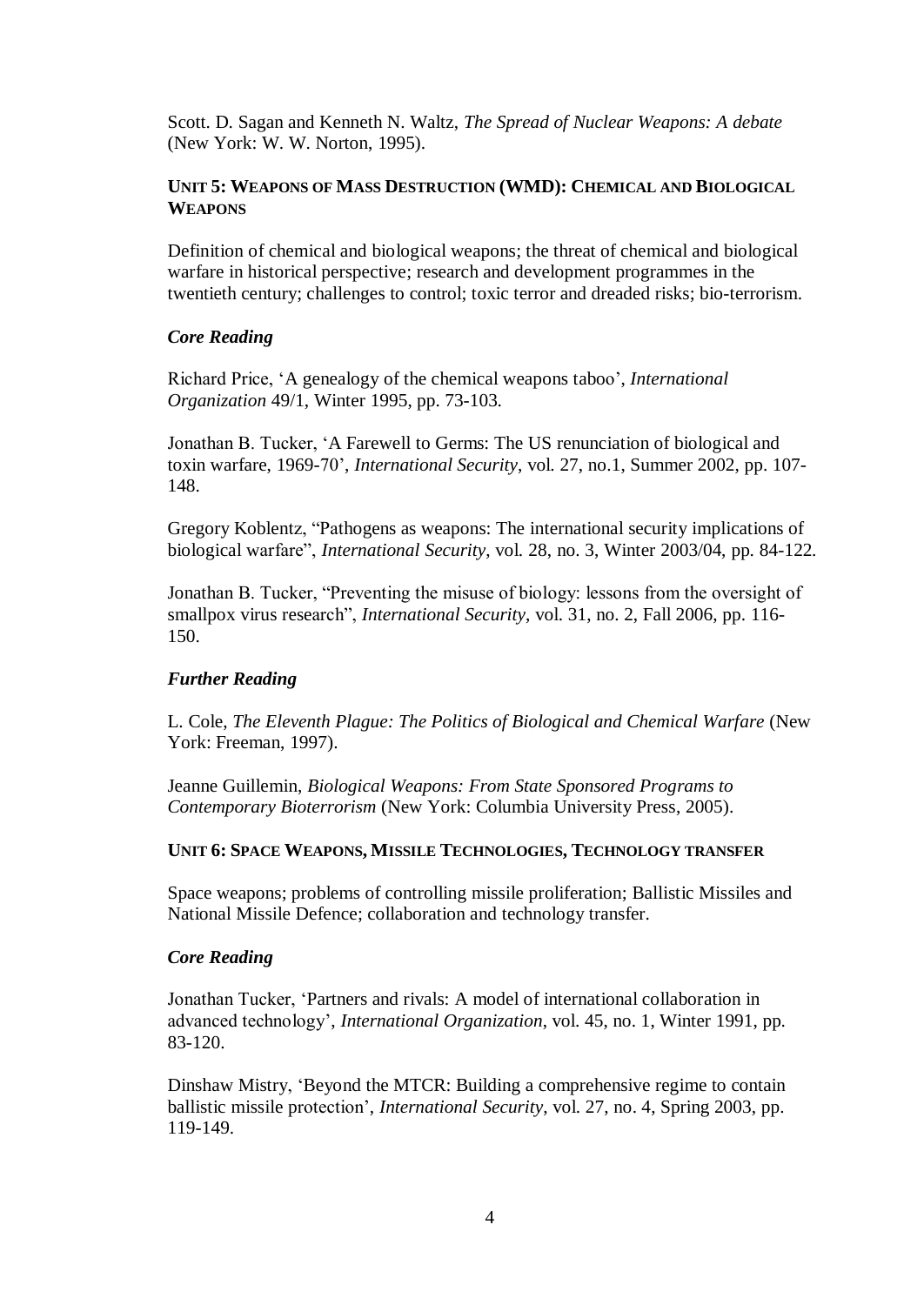Scott. D. Sagan and Kenneth N. Waltz, *The Spread of Nuclear Weapons: A debate* (New York: W. W. Norton, 1995).

## **UNIT 5: WEAPONS OF MASS DESTRUCTION (WMD): CHEMICAL AND BIOLOGICAL WEAPONS**

Definition of chemical and biological weapons; the threat of chemical and biological warfare in historical perspective; research and development programmes in the twentieth century; challenges to control; toxic terror and dreaded risks; bio-terrorism.

## *Core Reading*

Richard Price, 'A genealogy of the chemical weapons taboo', *International Organization* 49/1, Winter 1995, pp. 73-103.

Jonathan B. Tucker, 'A Farewell to Germs: The US renunciation of biological and toxin warfare, 1969-70', *International Security*, vol. 27, no.1, Summer 2002, pp. 107- 148.

Gregory Koblentz, "Pathogens as weapons: The international security implications of biological warfare", *International Security*, vol. 28, no. 3, Winter 2003/04, pp. 84-122.

Jonathan B. Tucker, "Preventing the misuse of biology: lessons from the oversight of smallpox virus research", *International Security*, vol. 31, no. 2, Fall 2006, pp. 116- 150.

#### *Further Reading*

L. Cole, *The Eleventh Plague: The Politics of Biological and Chemical Warfare* (New York: Freeman, 1997).

Jeanne Guillemin, *Biological Weapons: From State Sponsored Programs to Contemporary Bioterrorism* (New York: Columbia University Press, 2005).

#### **UNIT 6: SPACE WEAPONS, MISSILE TECHNOLOGIES, TECHNOLOGY TRANSFER**

Space weapons; problems of controlling missile proliferation; Ballistic Missiles and National Missile Defence; collaboration and technology transfer.

#### *Core Reading*

Jonathan Tucker, 'Partners and rivals: A model of international collaboration in advanced technology', *International Organization*, vol. 45, no. 1, Winter 1991, pp. 83-120.

Dinshaw Mistry, 'Beyond the MTCR: Building a comprehensive regime to contain ballistic missile protection', *International Security*, vol. 27, no. 4, Spring 2003, pp. 119-149.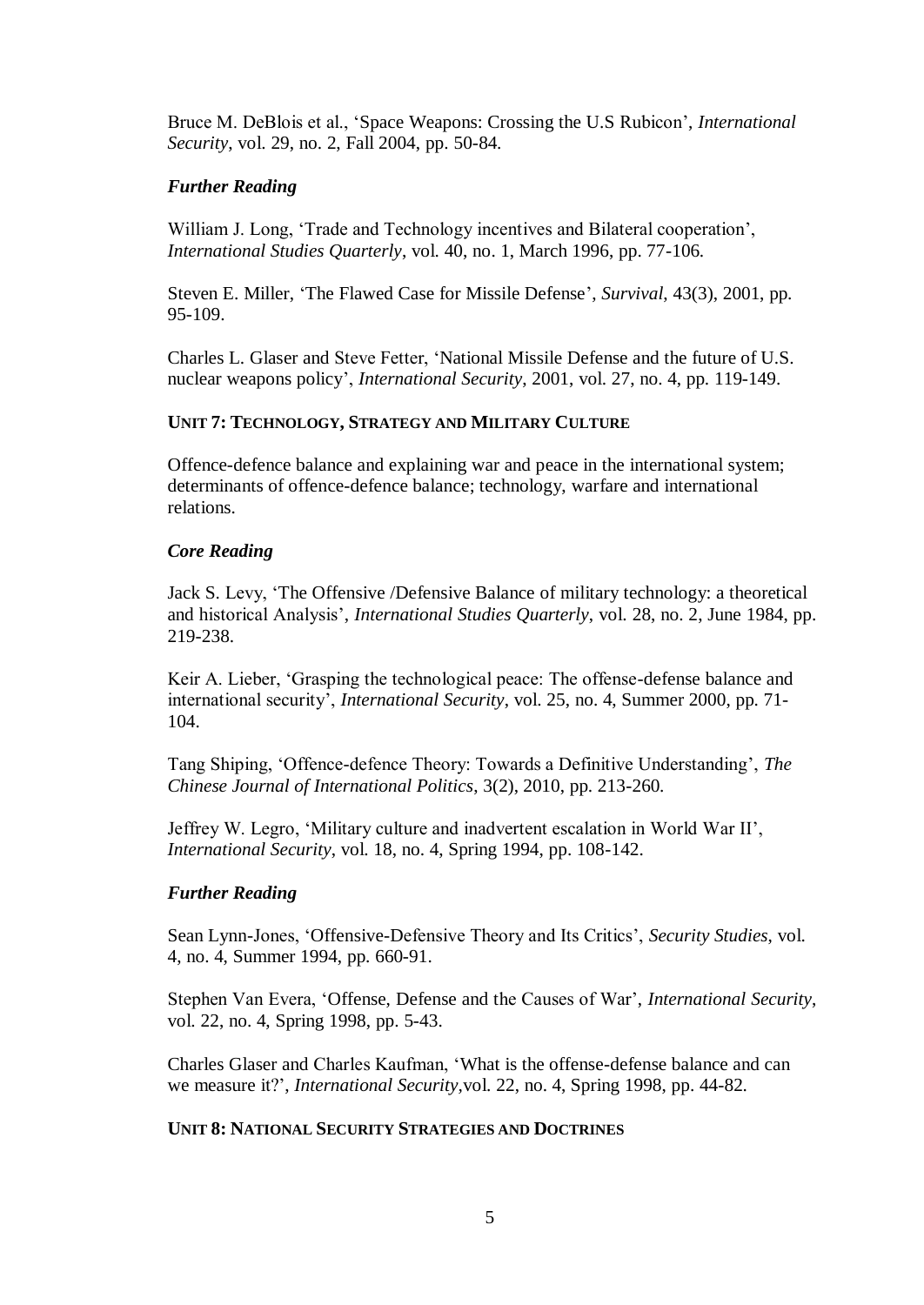Bruce M. DeBlois et al., 'Space Weapons: Crossing the U.S Rubicon', *International Security*, vol. 29, no. 2, Fall 2004, pp. 50-84.

## *Further Reading*

William J. Long, 'Trade and Technology incentives and Bilateral cooperation', *International Studies Quarterly*, vol. 40, no. 1, March 1996, pp. 77-106.

Steven E. Miller, 'The Flawed Case for Missile Defense', *Survival*, 43(3), 2001, pp. 95-109.

Charles L. Glaser and Steve Fetter, 'National Missile Defense and the future of U.S. nuclear weapons policy', *International Security*, 2001, vol. 27, no. 4, pp. 119-149.

## **UNIT 7: TECHNOLOGY, STRATEGY AND MILITARY CULTURE**

Offence-defence balance and explaining war and peace in the international system; determinants of offence-defence balance; technology, warfare and international relations.

## *Core Reading*

Jack S. Levy, 'The Offensive /Defensive Balance of military technology: a theoretical and historical Analysis', *International Studies Quarterly*, vol. 28, no. 2, June 1984, pp. 219-238.

Keir A. Lieber, 'Grasping the technological peace: The offense-defense balance and international security', *International Security*, vol. 25, no. 4, Summer 2000, pp. 71- 104.

Tang Shiping, 'Offence-defence Theory: Towards a Definitive Understanding', *The Chinese Journal of International Politics*, 3(2), 2010, pp. 213-260.

Jeffrey W. Legro, 'Military culture and inadvertent escalation in World War II', *International Security*, vol. 18, no. 4, Spring 1994, pp. 108-142.

#### *Further Reading*

Sean Lynn-Jones, 'Offensive-Defensive Theory and Its Critics', *Security Studies*, vol. 4, no. 4, Summer 1994, pp. 660-91.

Stephen Van Evera, 'Offense, Defense and the Causes of War', *International Security*, vol. 22, no. 4, Spring 1998, pp. 5-43.

Charles Glaser and Charles Kaufman, 'What is the offense-defense balance and can we measure it?', *International Security,*vol. 22, no. 4, Spring 1998, pp. 44-82.

## **UNIT 8: NATIONAL SECURITY STRATEGIES AND DOCTRINES**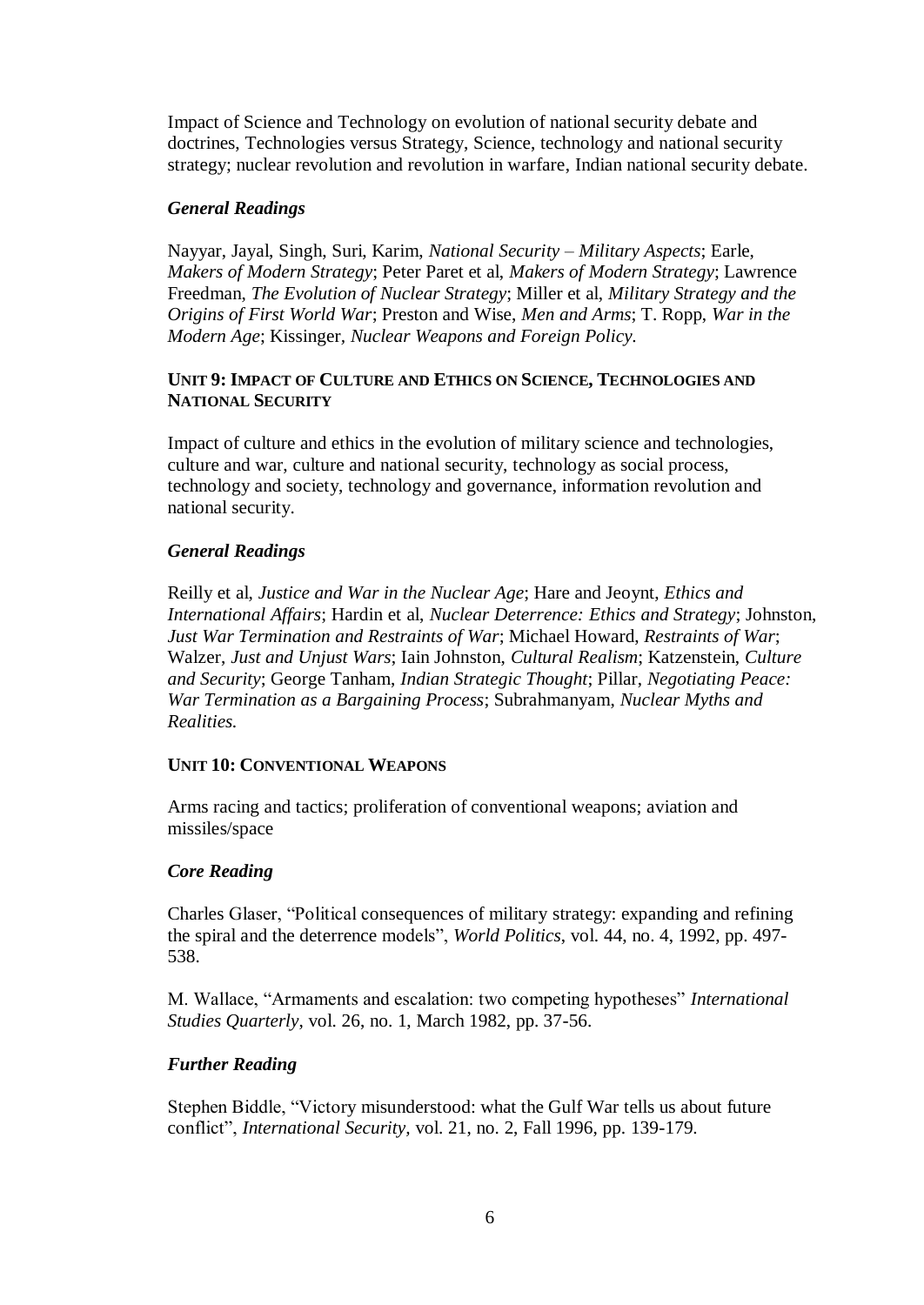Impact of Science and Technology on evolution of national security debate and doctrines, Technologies versus Strategy, Science, technology and national security strategy; nuclear revolution and revolution in warfare, Indian national security debate.

## *General Readings*

Nayyar, Jayal, Singh, Suri, Karim, *National Security – Military Aspects*; Earle, *Makers of Modern Strategy*; Peter Paret et al, *Makers of Modern Strategy*; Lawrence Freedman, *The Evolution of Nuclear Strategy*; Miller et al, *Military Strategy and the Origins of First World War*; Preston and Wise, *Men and Arms*; T. Ropp, *War in the Modern Age*; Kissinger*, Nuclear Weapons and Foreign Policy.*

## **UNIT 9: IMPACT OF CULTURE AND ETHICS ON SCIENCE, TECHNOLOGIES AND NATIONAL SECURITY**

Impact of culture and ethics in the evolution of military science and technologies, culture and war, culture and national security, technology as social process, technology and society, technology and governance, information revolution and national security.

## *General Readings*

Reilly et al, *Justice and War in the Nuclear Age*; Hare and Jeoynt, *Ethics and International Affairs*; Hardin et al, *Nuclear Deterrence: Ethics and Strategy*; Johnston, *Just War Termination and Restraints of War*; Michael Howard, *Restraints of War*; Walzer, *Just and Unjust Wars*; Iain Johnston, *Cultural Realism*; Katzenstein, *Culture and Security*; George Tanham, *Indian Strategic Thought*; Pillar, *Negotiating Peace: War Termination as a Bargaining Process*; Subrahmanyam, *Nuclear Myths and Realities.*

#### **UNIT 10: CONVENTIONAL WEAPONS**

Arms racing and tactics; proliferation of conventional weapons; aviation and missiles/space

# *Core Reading*

Charles Glaser, "Political consequences of military strategy: expanding and refining the spiral and the deterrence models", *World Politics*, vol. 44, no. 4, 1992, pp. 497- 538.

M. Wallace, "Armaments and escalation: two competing hypotheses" *International Studies Quarterly*, vol. 26, no. 1, March 1982, pp. 37-56.

# *Further Reading*

Stephen Biddle, "Victory misunderstood: what the Gulf War tells us about future conflict", *International Security,* vol. 21, no. 2, Fall 1996, pp. 139-179.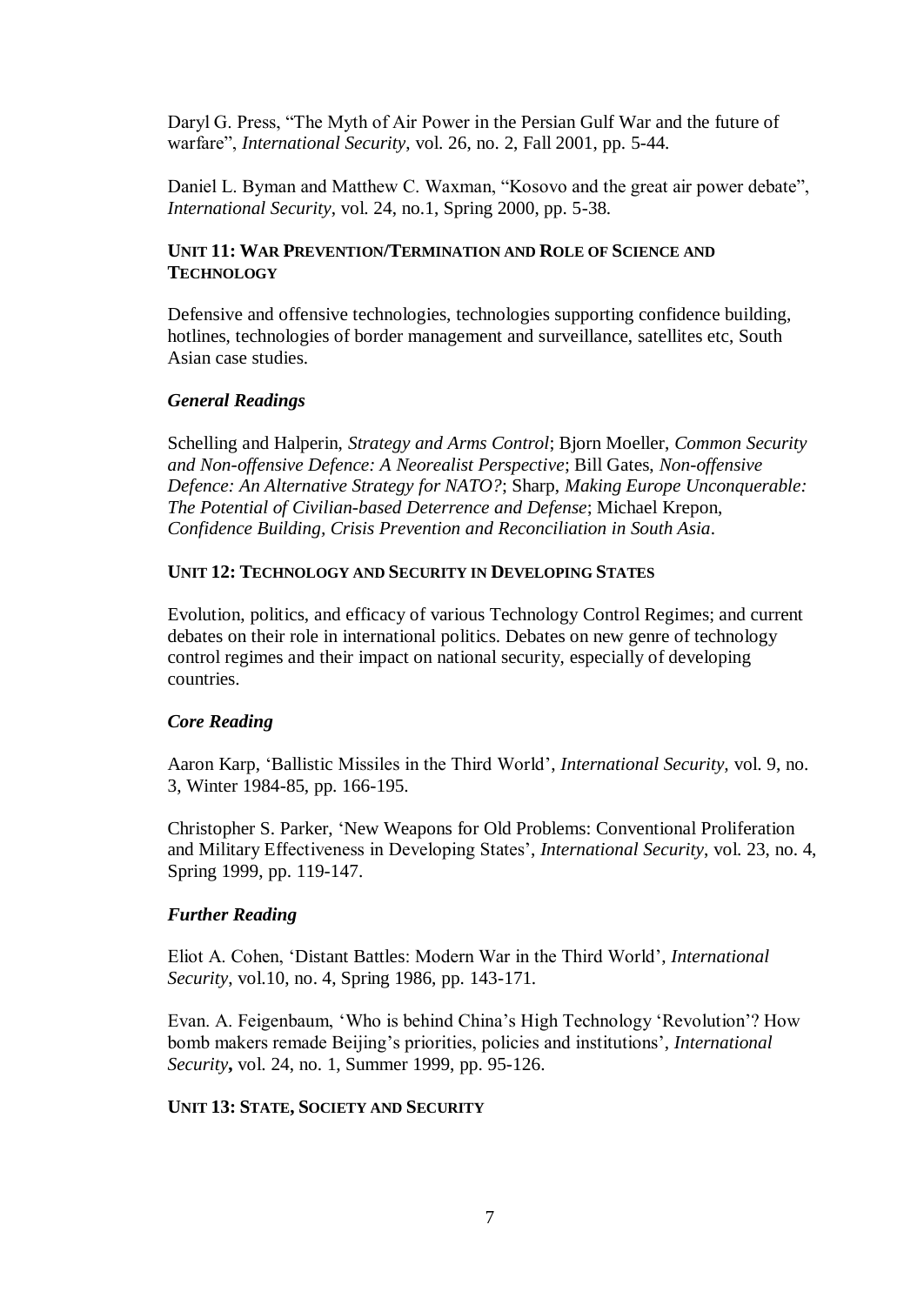Daryl G. Press, "The Myth of Air Power in the Persian Gulf War and the future of warfare", *International Security*, vol. 26, no. 2, Fall 2001, pp. 5-44.

Daniel L. Byman and Matthew C. Waxman, "Kosovo and the great air power debate", *International Security*, vol. 24, no.1, Spring 2000, pp. 5-38.

## **UNIT 11: WAR PREVENTION/TERMINATION AND ROLE OF SCIENCE AND TECHNOLOGY**

Defensive and offensive technologies, technologies supporting confidence building, hotlines, technologies of border management and surveillance, satellites etc, South Asian case studies.

#### *General Readings*

Schelling and Halperin, *Strategy and Arms Control*; Bjorn Moeller, *Common Security and Non-offensive Defence: A Neorealist Perspective*; Bill Gates, *Non-offensive Defence: An Alternative Strategy for NATO?*; Sharp, *Making Europe Unconquerable: The Potential of Civilian-based Deterrence and Defense*; Michael Krepon, *Confidence Building, Crisis Prevention and Reconciliation in South Asia.*

#### **UNIT 12: TECHNOLOGY AND SECURITY IN DEVELOPING STATES**

Evolution, politics, and efficacy of various Technology Control Regimes; and current debates on their role in international politics. Debates on new genre of technology control regimes and their impact on national security, especially of developing countries.

#### *Core Reading*

Aaron Karp, 'Ballistic Missiles in the Third World', *International Security,* vol. 9, no. 3, Winter 1984-85, pp. 166-195.

Christopher S. Parker, 'New Weapons for Old Problems: Conventional Proliferation and Military Effectiveness in Developing States', *International Security*, vol. 23, no. 4, Spring 1999, pp. 119-147.

## *Further Reading*

Eliot A. Cohen, 'Distant Battles: Modern War in the Third World', *International Security*, vol.10, no. 4, Spring 1986, pp. 143-171.

Evan. A. Feigenbaum, 'Who is behind China's High Technology 'Revolution'? How bomb makers remade Beijing's priorities, policies and institutions', *International Security***,** vol. 24, no. 1, Summer 1999, pp. 95-126.

#### **UNIT 13: STATE, SOCIETY AND SECURITY**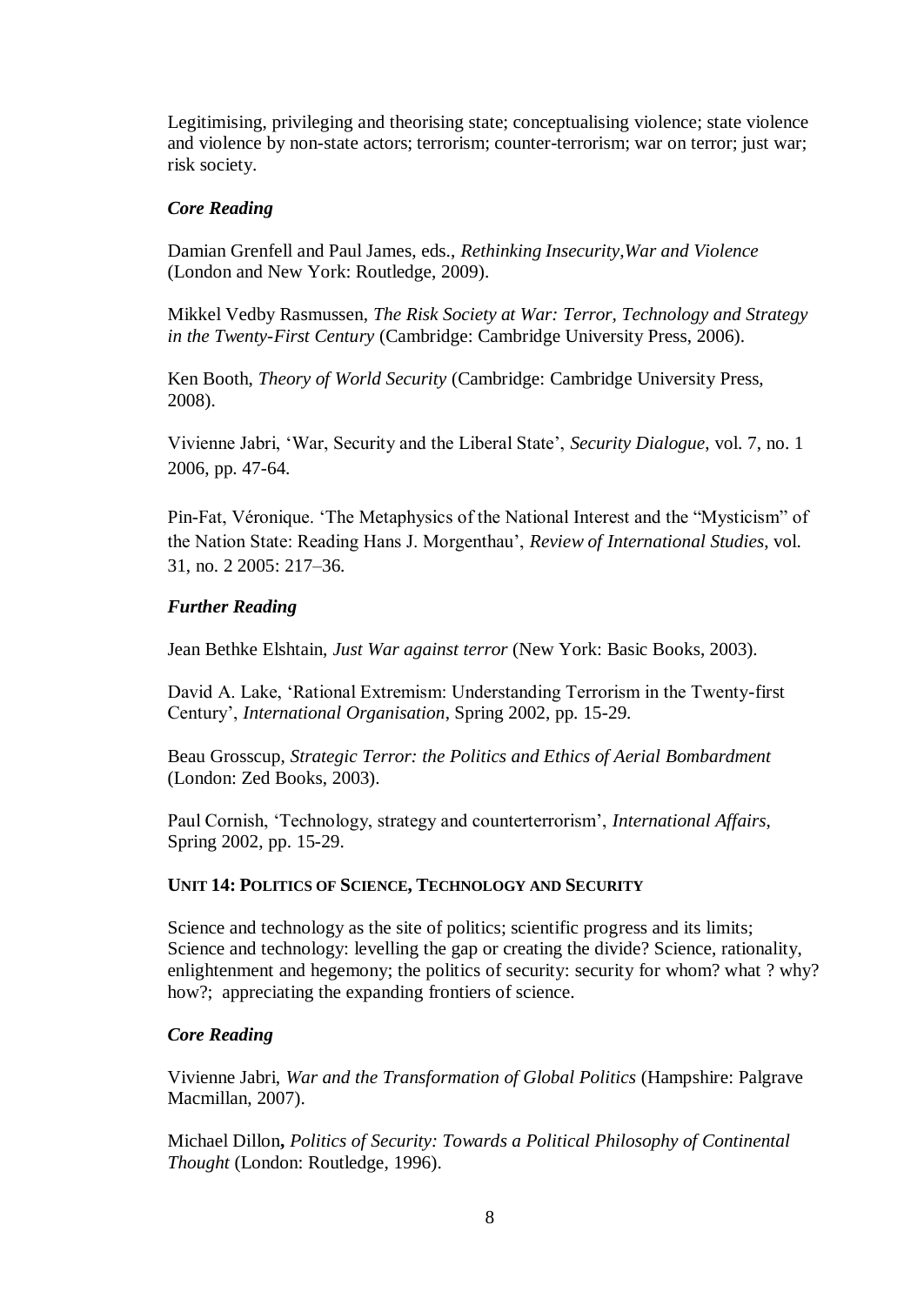Legitimising, privileging and theorising state; conceptualising violence; state violence and violence by non-state actors; terrorism; counter-terrorism; war on terror; just war; risk society.

## *Core Reading*

Damian Grenfell and Paul James, eds., *Rethinking Insecurity,War and Violence* (London and New York: Routledge, 2009).

Mikkel Vedby Rasmussen, *The Risk Society at War: Terror, Technology and Strategy in the Twenty-First Century* (Cambridge: Cambridge University Press, 2006).

Ken Booth, *Theory of World Security* (Cambridge: Cambridge University Press, 2008).

Vivienne Jabri, 'War, Security and the Liberal State', *Security Dialogue*, vol. 7, no. 1 2006, pp. 47-64.

Pin-Fat, Véronique. 'The Metaphysics of the National Interest and the "Mysticism" of the Nation State: Reading Hans J. Morgenthau', *Review of International Studies*, vol. 31, no. 2 2005: 217–36.

## *Further Reading*

Jean Bethke Elshtain, *Just War against terror* (New York: Basic Books, 2003).

David A. Lake, 'Rational Extremism: Understanding Terrorism in the Twenty-first Century', *International Organisation*, Spring 2002, pp. 15-29.

Beau Grosscup, *Strategic Terror: the Politics and Ethics of Aerial Bombardment* (London: Zed Books, 2003).

Paul Cornish, 'Technology, strategy and counterterrorism', *International Affairs*, Spring 2002, pp. 15-29.

#### **UNIT 14: POLITICS OF SCIENCE, TECHNOLOGY AND SECURITY**

Science and technology as the site of politics; scientific progress and its limits; Science and technology: levelling the gap or creating the divide? Science, rationality, enlightenment and hegemony; the politics of security: security for whom? what ? why? how?; appreciating the expanding frontiers of science.

# *Core Reading*

Vivienne Jabri, *War and the Transformation of Global Politics* (Hampshire: Palgrave Macmillan, 2007).

Michael Dillon**,** *Politics of Security: Towards a Political Philosophy of Continental Thought* (London: Routledge, 1996).